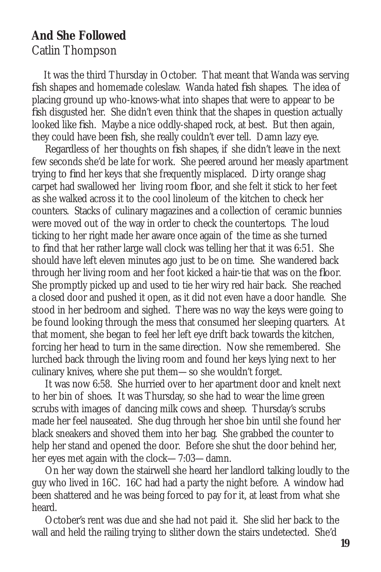## **And She Followed**

## Catlin Thompson

 It was the third Thursday in October. That meant that Wanda was serving fish shapes and homemade coleslaw. Wanda hated fish shapes. The idea of placing ground up who-knows-what into shapes that were to appear to be fish disgusted her. She didn't even think that the shapes in question actually looked like fish. Maybe a nice oddly-shaped rock, at best. But then again, they could have been fish, she really couldn't ever tell. Damn lazy eye.

 Regardless of her thoughts on fish shapes, if she didn't leave in the next few seconds she'd be late for work. She peered around her measly apartment trying to find her keys that she frequently misplaced. Dirty orange shag carpet had swallowed her living room floor, and she felt it stick to her feet as she walked across it to the cool linoleum of the kitchen to check her counters. Stacks of culinary magazines and a collection of ceramic bunnies were moved out of the way in order to check the countertops. The loud ticking to her right made her aware once again of the time as she turned to find that her rather large wall clock was telling her that it was 6:51. She should have left eleven minutes ago just to be on time. She wandered back through her living room and her foot kicked a hair-tie that was on the floor. She promptly picked up and used to tie her wiry red hair back. She reached a closed door and pushed it open, as it did not even have a door handle. She stood in her bedroom and sighed. There was no way the keys were going to be found looking through the mess that consumed her sleeping quarters. At that moment, she began to feel her left eye drift back towards the kitchen, forcing her head to turn in the same direction. Now she remembered. She lurched back through the living room and found her keys lying next to her culinary knives, where she put them—so she wouldn't forget.

 It was now 6:58. She hurried over to her apartment door and knelt next to her bin of shoes. It was Thursday, so she had to wear the lime green scrubs with images of dancing milk cows and sheep. Thursday's scrubs made her feel nauseated. She dug through her shoe bin until she found her black sneakers and shoved them into her bag. She grabbed the counter to help her stand and opened the door. Before she shut the door behind her, her eyes met again with the clock—7:03—damn.

 On her way down the stairwell she heard her landlord talking loudly to the guy who lived in 16C. 16C had had a party the night before. A window had been shattered and he was being forced to pay for it, at least from what she heard.

 October's rent was due and she had not paid it. She slid her back to the wall and held the railing trying to slither down the stairs undetected. She'd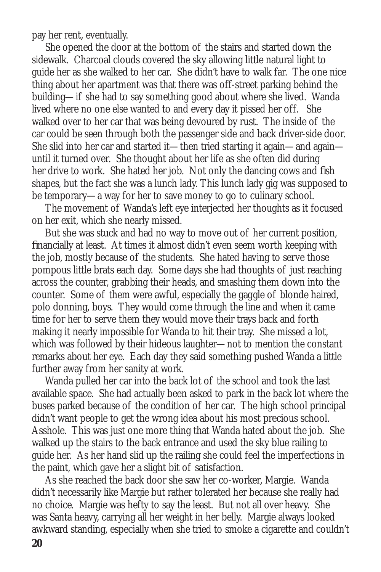pay her rent, eventually.

 She opened the door at the bottom of the stairs and started down the sidewalk. Charcoal clouds covered the sky allowing little natural light to guide her as she walked to her car. She didn't have to walk far. The one nice thing about her apartment was that there was off-street parking behind the building—if she had to say something good about where she lived. Wanda lived where no one else wanted to and every day it pissed her off. She walked over to her car that was being devoured by rust. The inside of the car could be seen through both the passenger side and back driver-side door. She slid into her car and started it—then tried starting it again—and again until it turned over. She thought about her life as she often did during her drive to work. She hated her job. Not only the dancing cows and fish shapes, but the fact she was a lunch lady. This lunch lady gig was supposed to be temporary—a way for her to save money to go to culinary school.

 The movement of Wanda's left eye interjected her thoughts as it focused on her exit, which she nearly missed.

 But she was stuck and had no way to move out of her current position, financially at least. At times it almost didn't even seem worth keeping with the job, mostly because of the students. She hated having to serve those pompous little brats each day. Some days she had thoughts of just reaching across the counter, grabbing their heads, and smashing them down into the counter. Some of them were awful, especially the gaggle of blonde haired, polo donning, boys. They would come through the line and when it came time for her to serve them they would move their trays back and forth making it nearly impossible for Wanda to hit their tray. She missed a lot, which was followed by their hideous laughter—not to mention the constant remarks about her eye. Each day they said something pushed Wanda a little further away from her sanity at work.

 Wanda pulled her car into the back lot of the school and took the last available space. She had actually been asked to park in the back lot where the buses parked because of the condition of her car. The high school principal didn't want people to get the wrong idea about his most precious school. Asshole. This was just one more thing that Wanda hated about the job. She walked up the stairs to the back entrance and used the sky blue railing to guide her. As her hand slid up the railing she could feel the imperfections in the paint, which gave her a slight bit of satisfaction.

 As she reached the back door she saw her co-worker, Margie. Wanda didn't necessarily like Margie but rather tolerated her because she really had no choice. Margie was hefty to say the least. But not all over heavy. She was Santa heavy, carrying all her weight in her belly. Margie always looked awkward standing, especially when she tried to smoke a cigarette and couldn't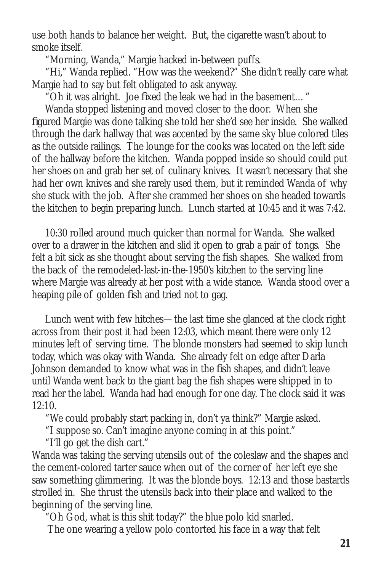use both hands to balance her weight. But, the cigarette wasn't about to smoke itself.

"Morning, Wanda," Margie hacked in-between puffs.

 "Hi," Wanda replied. "How was the weekend?" She didn't really care what Margie had to say but felt obligated to ask anyway.

"Oh it was alright. Joe fixed the leak we had in the basement…"

 Wanda stopped listening and moved closer to the door. When she figured Margie was done talking she told her she'd see her inside. She walked through the dark hallway that was accented by the same sky blue colored tiles as the outside railings. The lounge for the cooks was located on the left side of the hallway before the kitchen. Wanda popped inside so should could put her shoes on and grab her set of culinary knives. It wasn't necessary that she had her own knives and she rarely used them, but it reminded Wanda of why she stuck with the job. After she crammed her shoes on she headed towards the kitchen to begin preparing lunch. Lunch started at 10:45 and it was 7:42.

 10:30 rolled around much quicker than normal for Wanda. She walked over to a drawer in the kitchen and slid it open to grab a pair of tongs. She felt a bit sick as she thought about serving the fish shapes. She walked from the back of the remodeled-last-in-the-1950's kitchen to the serving line where Margie was already at her post with a wide stance. Wanda stood over a heaping pile of golden fish and tried not to gag.

 Lunch went with few hitches—the last time she glanced at the clock right across from their post it had been 12:03, which meant there were only 12 minutes left of serving time. The blonde monsters had seemed to skip lunch today, which was okay with Wanda. She already felt on edge after Darla Johnson demanded to know what was in the fish shapes, and didn't leave until Wanda went back to the giant bag the fish shapes were shipped in to read her the label. Wanda had had enough for one day. The clock said it was  $12:10$ 

"We could probably start packing in, don't ya think?" Margie asked.

"I suppose so. Can't imagine anyone coming in at this point."

"I'll go get the dish cart."

Wanda was taking the serving utensils out of the coleslaw and the shapes and the cement-colored tarter sauce when out of the corner of her left eye she saw something glimmering. It was the blonde boys. 12:13 and those bastards strolled in. She thrust the utensils back into their place and walked to the beginning of the serving line.

"Oh God, what is this shit today?" the blue polo kid snarled.

The one wearing a yellow polo contorted his face in a way that felt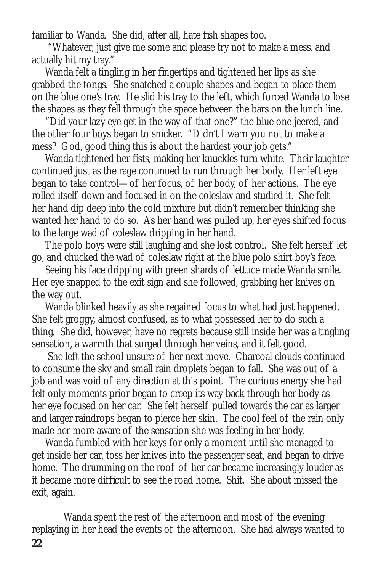familiar to Wanda. She did, after all, hate fish shapes too.

 "Whatever, just give me some and please try not to make a mess, and actually hit my tray."

 Wanda felt a tingling in her fingertips and tightened her lips as she grabbed the tongs. She snatched a couple shapes and began to place them on the blue one's tray. He slid his tray to the left, which forced Wanda to lose the shapes as they fell through the space between the bars on the lunch line.

 "Did your lazy eye get in the way of that one?" the blue one jeered, and the other four boys began to snicker. "Didn't I warn you not to make a mess? God, good thing this is about the hardest your job gets."

 Wanda tightened her fists, making her knuckles turn white. Their laughter continued just as the rage continued to run through her body. Her left eye began to take control—of her focus, of her body, of her actions. The eye rolled itself down and focused in on the coleslaw and studied it. She felt her hand dip deep into the cold mixture but didn't remember thinking she wanted her hand to do so. As her hand was pulled up, her eyes shifted focus to the large wad of coleslaw dripping in her hand.

 The polo boys were still laughing and she lost control. She felt herself let go, and chucked the wad of coleslaw right at the blue polo shirt boy's face.

 Seeing his face dripping with green shards of lettuce made Wanda smile. Her eye snapped to the exit sign and she followed, grabbing her knives on the way out.

 Wanda blinked heavily as she regained focus to what had just happened. She felt groggy, almost confused, as to what possessed her to do such a thing. She did, however, have no regrets because still inside her was a tingling sensation, a warmth that surged through her veins, and it felt good.

 She left the school unsure of her next move. Charcoal clouds continued to consume the sky and small rain droplets began to fall. She was out of a job and was void of any direction at this point. The curious energy she had felt only moments prior began to creep its way back through her body as her eye focused on her car. She felt herself pulled towards the car as larger and larger raindrops began to pierce her skin. The cool feel of the rain only made her more aware of the sensation she was feeling in her body.

 Wanda fumbled with her keys for only a moment until she managed to get inside her car, toss her knives into the passenger seat, and began to drive home. The drumming on the roof of her car became increasingly louder as it became more difficult to see the road home. Shit. She about missed the exit, again.

 Wanda spent the rest of the afternoon and most of the evening replaying in her head the events of the afternoon. She had always wanted to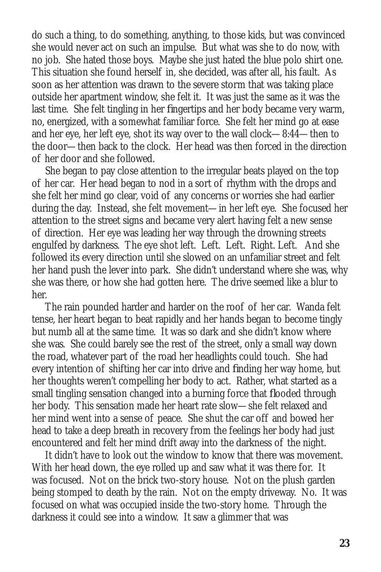do such a thing, to do something, anything, to those kids, but was convinced she would never act on such an impulse. But what was she to do now, with no job. She hated those boys. Maybe she just hated the blue polo shirt one. This situation she found herself in, she decided, was after all, his fault. As soon as her attention was drawn to the severe storm that was taking place outside her apartment window, she felt it. It was just the same as it was the last time. She felt tingling in her fingertips and her body became very warm, no, energized, with a somewhat familiar force. She felt her mind go at ease and her eye, her left eye, shot its way over to the wall clock—8:44—then to the door—then back to the clock. Her head was then forced in the direction of her door and she followed.

 She began to pay close attention to the irregular beats played on the top of her car. Her head began to nod in a sort of rhythm with the drops and she felt her mind go clear, void of any concerns or worries she had earlier during the day. Instead, she felt movement—in her left eye. She focused her attention to the street signs and became very alert having felt a new sense of direction. Her eye was leading her way through the drowning streets engulfed by darkness. The eye shot left. Left. Left. Right. Left. And she followed its every direction until she slowed on an unfamiliar street and felt her hand push the lever into park. She didn't understand where she was, why she was there, or how she had gotten here. The drive seemed like a blur to her.

 The rain pounded harder and harder on the roof of her car. Wanda felt tense, her heart began to beat rapidly and her hands began to become tingly but numb all at the same time. It was so dark and she didn't know where she was. She could barely see the rest of the street, only a small way down the road, whatever part of the road her headlights could touch. She had every intention of shifting her car into drive and finding her way home, but her thoughts weren't compelling her body to act. Rather, what started as a small tingling sensation changed into a burning force that flooded through her body. This sensation made her heart rate slow—she felt relaxed and her mind went into a sense of peace. She shut the car off and bowed her head to take a deep breath in recovery from the feelings her body had just encountered and felt her mind drift away into the darkness of the night.

 It didn't have to look out the window to know that there was movement. With her head down, the eye rolled up and saw what it was there for. It was focused. Not on the brick two-story house. Not on the plush garden being stomped to death by the rain. Not on the empty driveway. No. It was focused on what was occupied inside the two-story home. Through the darkness it could see into a window. It saw a glimmer that was